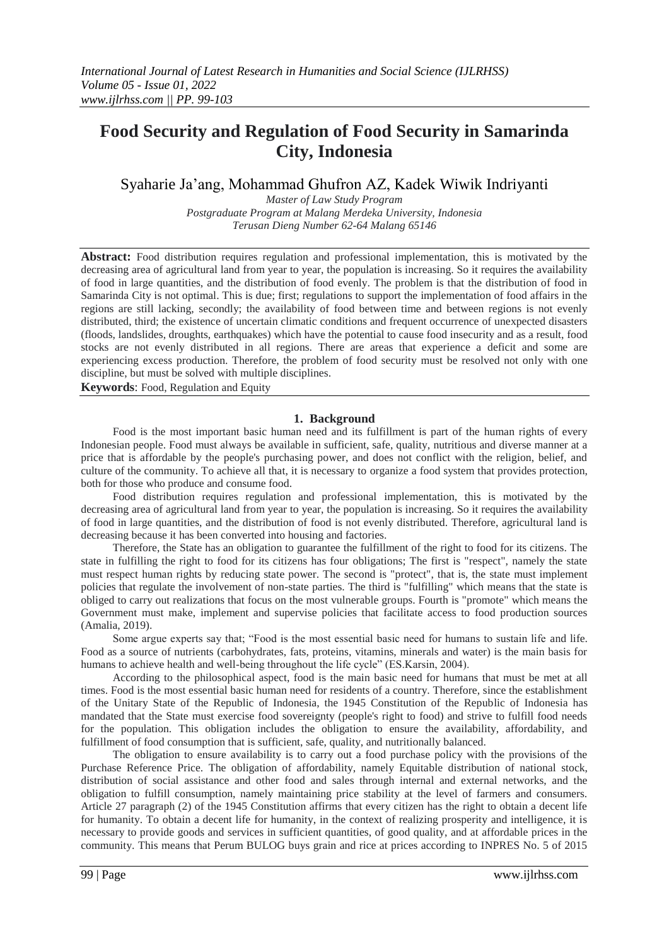# **Food Security and Regulation of Food Security in Samarinda City, Indonesia**

# Syaharie Ja'ang, Mohammad Ghufron AZ, Kadek Wiwik Indriyanti

*Master of Law Study Program Postgraduate Program at Malang Merdeka University, Indonesia Terusan Dieng Number 62-64 Malang 65146*

Abstract: Food distribution requires regulation and professional implementation, this is motivated by the decreasing area of agricultural land from year to year, the population is increasing. So it requires the availability of food in large quantities, and the distribution of food evenly. The problem is that the distribution of food in Samarinda City is not optimal. This is due; first; regulations to support the implementation of food affairs in the regions are still lacking, secondly; the availability of food between time and between regions is not evenly distributed, third; the existence of uncertain climatic conditions and frequent occurrence of unexpected disasters (floods, landslides, droughts, earthquakes) which have the potential to cause food insecurity and as a result, food stocks are not evenly distributed in all regions. There are areas that experience a deficit and some are experiencing excess production. Therefore, the problem of food security must be resolved not only with one discipline, but must be solved with multiple disciplines.

**Keywords**: Food, Regulation and Equity

### **1. Background**

Food is the most important basic human need and its fulfillment is part of the human rights of every Indonesian people. Food must always be available in sufficient, safe, quality, nutritious and diverse manner at a price that is affordable by the people's purchasing power, and does not conflict with the religion, belief, and culture of the community. To achieve all that, it is necessary to organize a food system that provides protection, both for those who produce and consume food.

Food distribution requires regulation and professional implementation, this is motivated by the decreasing area of agricultural land from year to year, the population is increasing. So it requires the availability of food in large quantities, and the distribution of food is not evenly distributed. Therefore, agricultural land is decreasing because it has been converted into housing and factories.

Therefore, the State has an obligation to guarantee the fulfillment of the right to food for its citizens. The state in fulfilling the right to food for its citizens has four obligations; The first is "respect", namely the state must respect human rights by reducing state power. The second is "protect", that is, the state must implement policies that regulate the involvement of non-state parties. The third is "fulfilling" which means that the state is obliged to carry out realizations that focus on the most vulnerable groups. Fourth is "promote" which means the Government must make, implement and supervise policies that facilitate access to food production sources (Amalia, 2019).

Some argue experts say that; "Food is the most essential basic need for humans to sustain life and life. Food as a source of nutrients (carbohydrates, fats, proteins, vitamins, minerals and water) is the main basis for humans to achieve health and well-being throughout the life cycle" (ES.Karsin, 2004).

According to the philosophical aspect, food is the main basic need for humans that must be met at all times. Food is the most essential basic human need for residents of a country. Therefore, since the establishment of the Unitary State of the Republic of Indonesia, the 1945 Constitution of the Republic of Indonesia has mandated that the State must exercise food sovereignty (people's right to food) and strive to fulfill food needs for the population. This obligation includes the obligation to ensure the availability, affordability, and fulfillment of food consumption that is sufficient, safe, quality, and nutritionally balanced.

The obligation to ensure availability is to carry out a food purchase policy with the provisions of the Purchase Reference Price. The obligation of affordability, namely Equitable distribution of national stock, distribution of social assistance and other food and sales through internal and external networks, and the obligation to fulfill consumption, namely maintaining price stability at the level of farmers and consumers. Article 27 paragraph (2) of the 1945 Constitution affirms that every citizen has the right to obtain a decent life for humanity. To obtain a decent life for humanity, in the context of realizing prosperity and intelligence, it is necessary to provide goods and services in sufficient quantities, of good quality, and at affordable prices in the community. This means that Perum BULOG buys grain and rice at prices according to INPRES No. 5 of 2015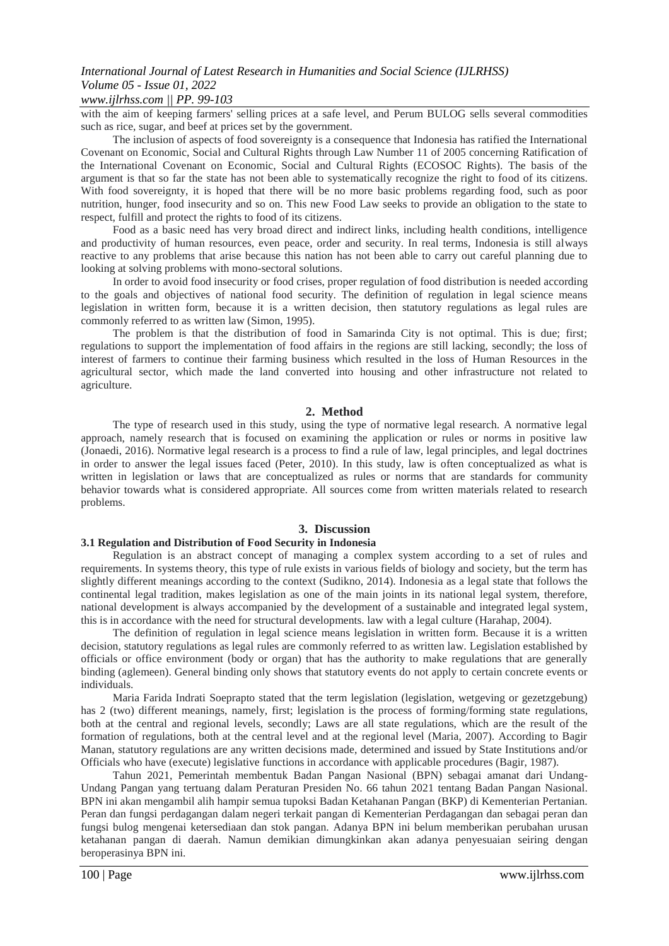# *International Journal of Latest Research in Humanities and Social Science (IJLRHSS) Volume 05 - Issue 01, 2022*

### *www.ijlrhss.com || PP. 99-103*

with the aim of keeping farmers' selling prices at a safe level, and Perum BULOG sells several commodities such as rice, sugar, and beef at prices set by the government.

The inclusion of aspects of food sovereignty is a consequence that Indonesia has ratified the International Covenant on Economic, Social and Cultural Rights through Law Number 11 of 2005 concerning Ratification of the International Covenant on Economic, Social and Cultural Rights (ECOSOC Rights). The basis of the argument is that so far the state has not been able to systematically recognize the right to food of its citizens. With food sovereignty, it is hoped that there will be no more basic problems regarding food, such as poor nutrition, hunger, food insecurity and so on. This new Food Law seeks to provide an obligation to the state to respect, fulfill and protect the rights to food of its citizens.

Food as a basic need has very broad direct and indirect links, including health conditions, intelligence and productivity of human resources, even peace, order and security. In real terms, Indonesia is still always reactive to any problems that arise because this nation has not been able to carry out careful planning due to looking at solving problems with mono-sectoral solutions.

In order to avoid food insecurity or food crises, proper regulation of food distribution is needed according to the goals and objectives of national food security. The definition of regulation in legal science means legislation in written form, because it is a written decision, then statutory regulations as legal rules are commonly referred to as written law (Simon, 1995).

The problem is that the distribution of food in Samarinda City is not optimal. This is due; first; regulations to support the implementation of food affairs in the regions are still lacking, secondly; the loss of interest of farmers to continue their farming business which resulted in the loss of Human Resources in the agricultural sector, which made the land converted into housing and other infrastructure not related to agriculture.

### **2. Method**

The type of research used in this study, using the type of normative legal research. A normative legal approach, namely research that is focused on examining the application or rules or norms in positive law (Jonaedi, 2016). Normative legal research is a process to find a rule of law, legal principles, and legal doctrines in order to answer the legal issues faced (Peter, 2010). In this study, law is often conceptualized as what is written in legislation or laws that are conceptualized as rules or norms that are standards for community behavior towards what is considered appropriate. All sources come from written materials related to research problems.

### **3. Discussion**

#### **3.1 Regulation and Distribution of Food Security in Indonesia**

Regulation is an abstract concept of managing a complex system according to a set of rules and requirements. In systems theory, this type of rule exists in various fields of biology and society, but the term has slightly different meanings according to the context (Sudikno, 2014). Indonesia as a legal state that follows the continental legal tradition, makes legislation as one of the main joints in its national legal system, therefore, national development is always accompanied by the development of a sustainable and integrated legal system, this is in accordance with the need for structural developments. law with a legal culture (Harahap, 2004).

The definition of regulation in legal science means legislation in written form. Because it is a written decision, statutory regulations as legal rules are commonly referred to as written law. Legislation established by officials or office environment (body or organ) that has the authority to make regulations that are generally binding (aglemeen). General binding only shows that statutory events do not apply to certain concrete events or individuals.

Maria Farida Indrati Soeprapto stated that the term legislation (legislation, wetgeving or gezetzgebung) has 2 (two) different meanings, namely, first; legislation is the process of forming/forming state regulations, both at the central and regional levels, secondly; Laws are all state regulations, which are the result of the formation of regulations, both at the central level and at the regional level (Maria, 2007). According to Bagir Manan, statutory regulations are any written decisions made, determined and issued by State Institutions and/or Officials who have (execute) legislative functions in accordance with applicable procedures (Bagir, 1987).

Tahun 2021, Pemerintah membentuk Badan Pangan Nasional (BPN) sebagai amanat dari Undang-Undang Pangan yang tertuang dalam Peraturan Presiden No. 66 tahun 2021 tentang Badan Pangan Nasional. BPN ini akan mengambil alih hampir semua tupoksi Badan Ketahanan Pangan (BKP) di Kementerian Pertanian. Peran dan fungsi perdagangan dalam negeri terkait pangan di Kementerian Perdagangan dan sebagai peran dan fungsi bulog mengenai ketersediaan dan stok pangan. Adanya BPN ini belum memberikan perubahan urusan ketahanan pangan di daerah. Namun demikian dimungkinkan akan adanya penyesuaian seiring dengan beroperasinya BPN ini.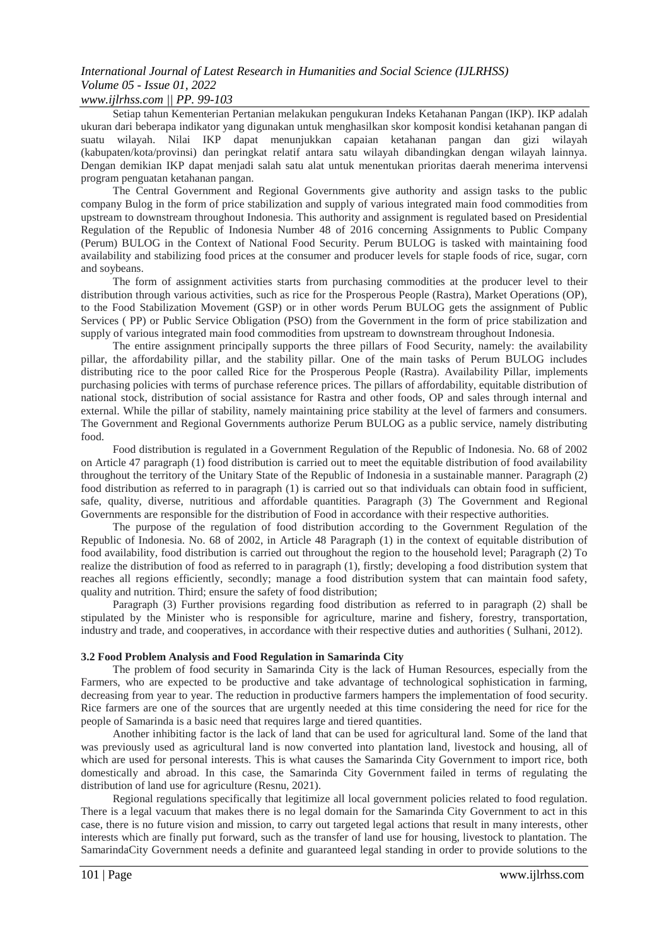# *International Journal of Latest Research in Humanities and Social Science (IJLRHSS) Volume 05 - Issue 01, 2022*

### *www.ijlrhss.com || PP. 99-103*

Setiap tahun Kementerian Pertanian melakukan pengukuran Indeks Ketahanan Pangan (IKP). IKP adalah ukuran dari beberapa indikator yang digunakan untuk menghasilkan skor komposit kondisi ketahanan pangan di suatu wilayah. Nilai IKP dapat menunjukkan capaian ketahanan pangan dan gizi wilayah (kabupaten/kota/provinsi) dan peringkat relatif antara satu wilayah dibandingkan dengan wilayah lainnya. Dengan demikian IKP dapat menjadi salah satu alat untuk menentukan prioritas daerah menerima intervensi program penguatan ketahanan pangan.

The Central Government and Regional Governments give authority and assign tasks to the public company Bulog in the form of price stabilization and supply of various integrated main food commodities from upstream to downstream throughout Indonesia. This authority and assignment is regulated based on Presidential Regulation of the Republic of Indonesia Number 48 of 2016 concerning Assignments to Public Company (Perum) BULOG in the Context of National Food Security. Perum BULOG is tasked with maintaining food availability and stabilizing food prices at the consumer and producer levels for staple foods of rice, sugar, corn and soybeans.

The form of assignment activities starts from purchasing commodities at the producer level to their distribution through various activities, such as rice for the Prosperous People (Rastra), Market Operations (OP), to the Food Stabilization Movement (GSP) or in other words Perum BULOG gets the assignment of Public Services ( PP) or Public Service Obligation (PSO) from the Government in the form of price stabilization and supply of various integrated main food commodities from upstream to downstream throughout Indonesia.

The entire assignment principally supports the three pillars of Food Security, namely: the availability pillar, the affordability pillar, and the stability pillar. One of the main tasks of Perum BULOG includes distributing rice to the poor called Rice for the Prosperous People (Rastra). Availability Pillar, implements purchasing policies with terms of purchase reference prices. The pillars of affordability, equitable distribution of national stock, distribution of social assistance for Rastra and other foods, OP and sales through internal and external. While the pillar of stability, namely maintaining price stability at the level of farmers and consumers. The Government and Regional Governments authorize Perum BULOG as a public service, namely distributing food.

Food distribution is regulated in a Government Regulation of the Republic of Indonesia. No. 68 of 2002 on Article 47 paragraph (1) food distribution is carried out to meet the equitable distribution of food availability throughout the territory of the Unitary State of the Republic of Indonesia in a sustainable manner. Paragraph (2) food distribution as referred to in paragraph (1) is carried out so that individuals can obtain food in sufficient, safe, quality, diverse, nutritious and affordable quantities. Paragraph (3) The Government and Regional Governments are responsible for the distribution of Food in accordance with their respective authorities.

The purpose of the regulation of food distribution according to the Government Regulation of the Republic of Indonesia. No. 68 of 2002, in Article 48 Paragraph (1) in the context of equitable distribution of food availability, food distribution is carried out throughout the region to the household level; Paragraph (2) To realize the distribution of food as referred to in paragraph (1), firstly; developing a food distribution system that reaches all regions efficiently, secondly; manage a food distribution system that can maintain food safety, quality and nutrition. Third; ensure the safety of food distribution;

Paragraph (3) Further provisions regarding food distribution as referred to in paragraph (2) shall be stipulated by the Minister who is responsible for agriculture, marine and fishery, forestry, transportation, industry and trade, and cooperatives, in accordance with their respective duties and authorities ( Sulhani, 2012).

#### **3.2 Food Problem Analysis and Food Regulation in Samarinda City**

The problem of food security in Samarinda City is the lack of Human Resources, especially from the Farmers, who are expected to be productive and take advantage of technological sophistication in farming, decreasing from year to year. The reduction in productive farmers hampers the implementation of food security. Rice farmers are one of the sources that are urgently needed at this time considering the need for rice for the people of Samarinda is a basic need that requires large and tiered quantities.

Another inhibiting factor is the lack of land that can be used for agricultural land. Some of the land that was previously used as agricultural land is now converted into plantation land, livestock and housing, all of which are used for personal interests. This is what causes the Samarinda City Government to import rice, both domestically and abroad. In this case, the Samarinda City Government failed in terms of regulating the distribution of land use for agriculture (Resnu, 2021).

Regional regulations specifically that legitimize all local government policies related to food regulation. There is a legal vacuum that makes there is no legal domain for the Samarinda City Government to act in this case, there is no future vision and mission, to carry out targeted legal actions that result in many interests, other interests which are finally put forward, such as the transfer of land use for housing, livestock to plantation. The SamarindaCity Government needs a definite and guaranteed legal standing in order to provide solutions to the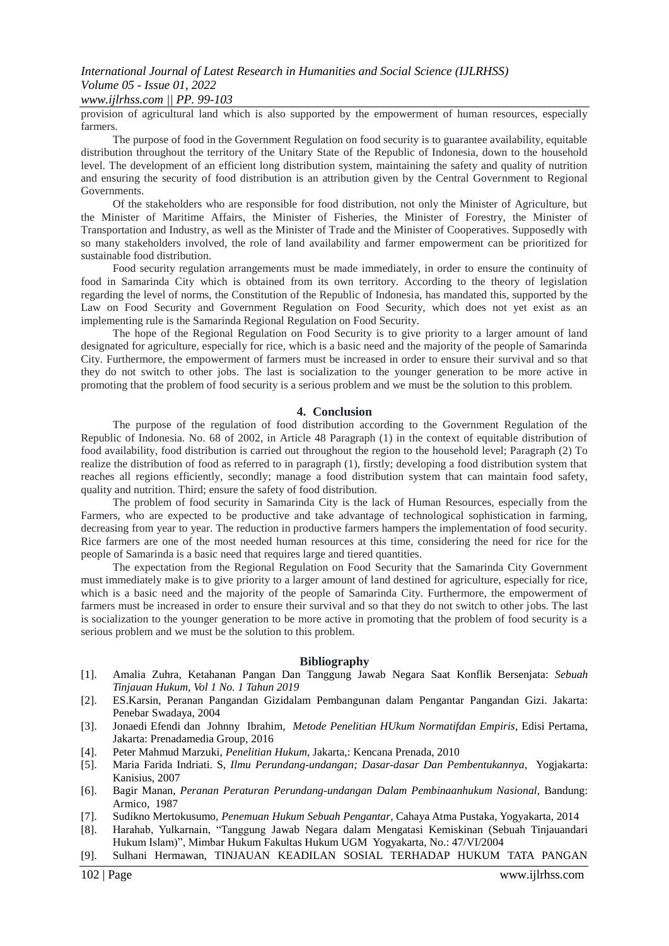### *www.ijlrhss.com || PP. 99-103*

provision of agricultural land which is also supported by the empowerment of human resources, especially farmers.

The purpose of food in the Government Regulation on food security is to guarantee availability, equitable distribution throughout the territory of the Unitary State of the Republic of Indonesia, down to the household level. The development of an efficient long distribution system, maintaining the safety and quality of nutrition and ensuring the security of food distribution is an attribution given by the Central Government to Regional Governments.

Of the stakeholders who are responsible for food distribution, not only the Minister of Agriculture, but the Minister of Maritime Affairs, the Minister of Fisheries, the Minister of Forestry, the Minister of Transportation and Industry, as well as the Minister of Trade and the Minister of Cooperatives. Supposedly with so many stakeholders involved, the role of land availability and farmer empowerment can be prioritized for sustainable food distribution.

Food security regulation arrangements must be made immediately, in order to ensure the continuity of food in Samarinda City which is obtained from its own territory. According to the theory of legislation regarding the level of norms, the Constitution of the Republic of Indonesia, has mandated this, supported by the Law on Food Security and Government Regulation on Food Security, which does not yet exist as an implementing rule is the Samarinda Regional Regulation on Food Security.

The hope of the Regional Regulation on Food Security is to give priority to a larger amount of land designated for agriculture, especially for rice, which is a basic need and the majority of the people of Samarinda City. Furthermore, the empowerment of farmers must be increased in order to ensure their survival and so that they do not switch to other jobs. The last is socialization to the younger generation to be more active in promoting that the problem of food security is a serious problem and we must be the solution to this problem.

#### **4. Conclusion**

The purpose of the regulation of food distribution according to the Government Regulation of the Republic of Indonesia. No. 68 of 2002, in Article 48 Paragraph (1) in the context of equitable distribution of food availability, food distribution is carried out throughout the region to the household level; Paragraph (2) To realize the distribution of food as referred to in paragraph (1), firstly; developing a food distribution system that reaches all regions efficiently, secondly; manage a food distribution system that can maintain food safety, quality and nutrition. Third; ensure the safety of food distribution.

The problem of food security in Samarinda City is the lack of Human Resources, especially from the Farmers, who are expected to be productive and take advantage of technological sophistication in farming, decreasing from year to year. The reduction in productive farmers hampers the implementation of food security. Rice farmers are one of the most needed human resources at this time, considering the need for rice for the people of Samarinda is a basic need that requires large and tiered quantities.

The expectation from the Regional Regulation on Food Security that the Samarinda City Government must immediately make is to give priority to a larger amount of land destined for agriculture, especially for rice, which is a basic need and the majority of the people of Samarinda City. Furthermore, the empowerment of farmers must be increased in order to ensure their survival and so that they do not switch to other jobs. The last is socialization to the younger generation to be more active in promoting that the problem of food security is a serious problem and we must be the solution to this problem.

#### **Bibliography**

- [1]. Amalia Zuhra, Ketahanan Pangan Dan Tanggung Jawab Negara Saat Konflik Bersenjata: *Sebuah Tinjauan Hukum, Vol 1 No. 1 Tahun 2019*
- [2]. ES.Karsin, Peranan Pangandan Gizidalam Pembangunan dalam Pengantar Pangandan Gizi. Jakarta: Penebar Swadaya, 2004
- [3]. Jonaedi Efendi dan Johnny Ibrahim*, Metode Penelitian HUkum Normatifdan Empiris*, Edisi Pertama, Jakarta: Prenadamedia Group, 2016
- [4]. Peter Mahmud Marzuki, *Penelitian Hukum*, Jakarta,: Kencana Prenada, 2010
- [5]. Maria Farida Indriati. S, *Ilmu Perundang-undangan; Dasar-dasar Dan Pembentukannya,* Yogjakarta: Kanisius, 2007
- [6]. Bagir Manan, *Peranan Peraturan Perundang-undangan Dalam Pembinaanhukum Nasional,* Bandung: Armico, 1987
- [7]. Sudikno Mertokusumo, *Penemuan Hukum Sebuah Pengantar*, Cahaya Atma Pustaka, Yogyakarta, 2014
- [8]. Harahab, Yulkarnain, "Tanggung Jawab Negara dalam Mengatasi Kemiskinan (Sebuah Tinjauandari Hukum Islam)", Mimbar Hukum Fakultas Hukum UGM Yogyakarta, No.: 47/VI/2004
- [9]. Sulhani Hermawan, TINJAUAN KEADILAN SOSIAL TERHADAP HUKUM TATA PANGAN